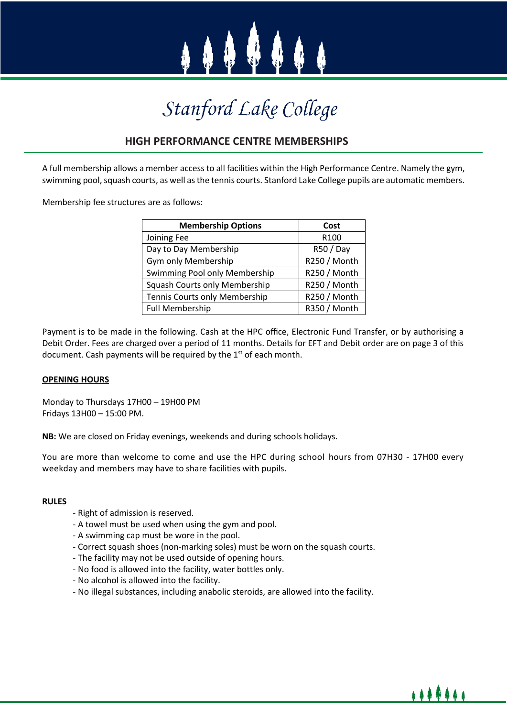

# Stanford Lake College

### **HIGH PERFORMANCE CENTRE MEMBERSHIPS**

A full membership allows a member access to all facilities within the High Performance Centre. Namely the gym, swimming pool, squash courts, as well as the tennis courts. Stanford Lake College pupils are automatic members.

Membership fee structures are as follows:

| <b>Membership Options</b>     | Cost             |
|-------------------------------|------------------|
| Joining Fee                   | R <sub>100</sub> |
| Day to Day Membership         | R50 / Day        |
| Gym only Membership           | R250 / Month     |
| Swimming Pool only Membership | R250 / Month     |
| Squash Courts only Membership | R250 / Month     |
| Tennis Courts only Membership | R250 / Month     |
| <b>Full Membership</b>        | R350 / Month     |

Payment is to be made in the following. Cash at the HPC office, Electronic Fund Transfer, or by authorising a Debit Order. Fees are charged over a period of 11 months. Details for EFT and Debit order are on page 3 of this document. Cash payments will be required by the  $1<sup>st</sup>$  of each month.

### **OPENING HOURS**

Monday to Thursdays 17H00 – 19H00 PM Fridays 13H00 – 15:00 PM.

**NB:** We are closed on Friday evenings, weekends and during schools holidays.

You are more than welcome to come and use the HPC during school hours from 07H30 - 17H00 every weekday and members may have to share facilities with pupils.

### **RULES**

- Right of admission is reserved.
- A towel must be used when using the gym and pool.
- A swimming cap must be wore in the pool.
- Correct squash shoes (non-marking soles) must be worn on the squash courts.
- The facility may not be used outside of opening hours.
- No food is allowed into the facility, water bottles only.
- No alcohol is allowed into the facility.
- No illegal substances, including anabolic steroids, are allowed into the facility.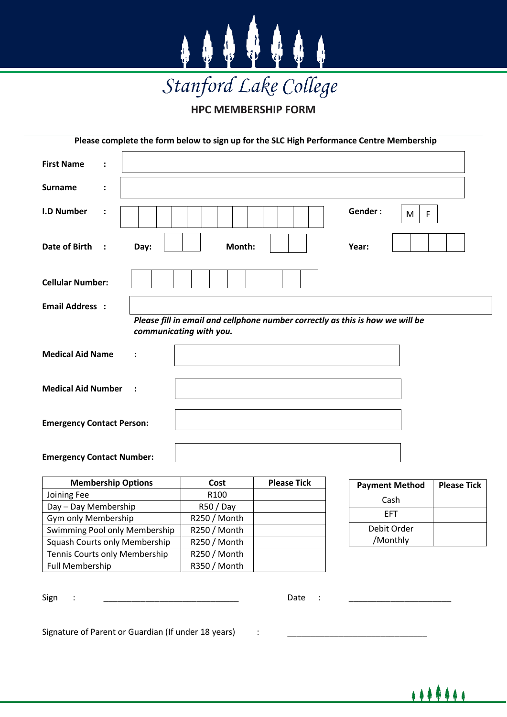

**HPC MEMBERSHIP FORM**

|                                                                                                          |      |              |                    | Please complete the form below to sign up for the SLC High Performance Centre Membership |                    |  |  |
|----------------------------------------------------------------------------------------------------------|------|--------------|--------------------|------------------------------------------------------------------------------------------|--------------------|--|--|
| <b>First Name</b><br>$\ddot{\cdot}$                                                                      |      |              |                    |                                                                                          |                    |  |  |
| <b>Surname</b><br>፡                                                                                      |      |              |                    |                                                                                          |                    |  |  |
| <b>I.D Number</b><br>$\ddot{\cdot}$                                                                      |      |              |                    | Gender:<br>F<br>M                                                                        |                    |  |  |
| <b>Date of Birth</b><br>$\cdot$ :                                                                        | Day: | Month:       |                    | Year:                                                                                    |                    |  |  |
| <b>Cellular Number:</b>                                                                                  |      |              |                    |                                                                                          |                    |  |  |
| <b>Email Address :</b>                                                                                   |      |              |                    |                                                                                          |                    |  |  |
| Please fill in email and cellphone number correctly as this is how we will be<br>communicating with you. |      |              |                    |                                                                                          |                    |  |  |
| <b>Medical Aid Name</b><br>$\ddot{\cdot}$                                                                |      |              |                    |                                                                                          |                    |  |  |
| <b>Medical Aid Number</b>                                                                                |      |              |                    |                                                                                          |                    |  |  |
| <b>Emergency Contact Person:</b>                                                                         |      |              |                    |                                                                                          |                    |  |  |
| <b>Emergency Contact Number:</b>                                                                         |      |              |                    |                                                                                          |                    |  |  |
| <b>Membership Options</b>                                                                                |      | Cost         | <b>Please Tick</b> | <b>Payment Method</b>                                                                    | <b>Please Tick</b> |  |  |
| Joining Fee                                                                                              |      | R100         |                    | Cash                                                                                     |                    |  |  |
| Day - Day Membership                                                                                     |      | R50/Day      |                    | <b>EFT</b>                                                                               |                    |  |  |
| Gym only Membership                                                                                      |      | R250 / Month |                    |                                                                                          |                    |  |  |
| Swimming Pool only Membership                                                                            |      | R250 / Month |                    | Debit Order                                                                              |                    |  |  |
| <b>Squash Courts only Membership</b>                                                                     |      | R250 / Month |                    | /Monthly                                                                                 |                    |  |  |
| Tennis Courts only Membership                                                                            |      | R250 / Month |                    |                                                                                          |                    |  |  |
| <b>Full Membership</b>                                                                                   |      | R350 / Month |                    |                                                                                          |                    |  |  |

Sign : \_\_\_\_\_\_\_\_\_\_\_\_\_\_\_\_\_\_\_\_\_\_\_\_\_\_\_\_\_ Date : \_\_\_\_\_\_\_\_\_\_\_\_\_\_\_\_\_\_\_\_\_\_

Signature of Parent or Guardian (If under 18 years) :

\*\*\*\*\*\*\*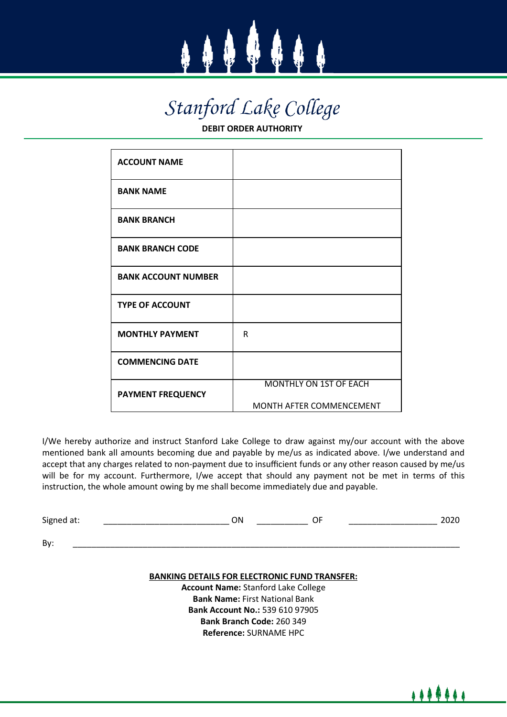

# Stanford Lake College

**DEBIT ORDER AUTHORITY**

| <b>ACCOUNT NAME</b>        |                                                           |
|----------------------------|-----------------------------------------------------------|
| <b>BANK NAME</b>           |                                                           |
| <b>BANK BRANCH</b>         |                                                           |
| <b>BANK BRANCH CODE</b>    |                                                           |
| <b>BANK ACCOUNT NUMBER</b> |                                                           |
| <b>TYPE OF ACCOUNT</b>     |                                                           |
| <b>MONTHLY PAYMENT</b>     | R                                                         |
| <b>COMMENCING DATE</b>     |                                                           |
| <b>PAYMENT FREQUENCY</b>   | <b>MONTHLY ON 1ST OF EACH</b><br>MONTH AFTER COMMENCEMENT |

I/We hereby authorize and instruct Stanford Lake College to draw against my/our account with the above mentioned bank all amounts becoming due and payable by me/us as indicated above. I/we understand and accept that any charges related to non-payment due to insufficient funds or any other reason caused by me/us will be for my account. Furthermore, I/we accept that should any payment not be met in terms of this instruction, the whole amount owing by me shall become immediately due and payable.

| Signed at: | ON |  | $\sim$<br>ZUZU |
|------------|----|--|----------------|
|            |    |  |                |
| By:        |    |  |                |

#### **BANKING DETAILS FOR ELECTRONIC FUND TRANSFER:**

**Account Name:** Stanford Lake College **Bank Name:** First National Bank **Bank Account No.:** 539 610 97905 **Bank Branch Code:** 260 349 **Reference:** SURNAME HPC